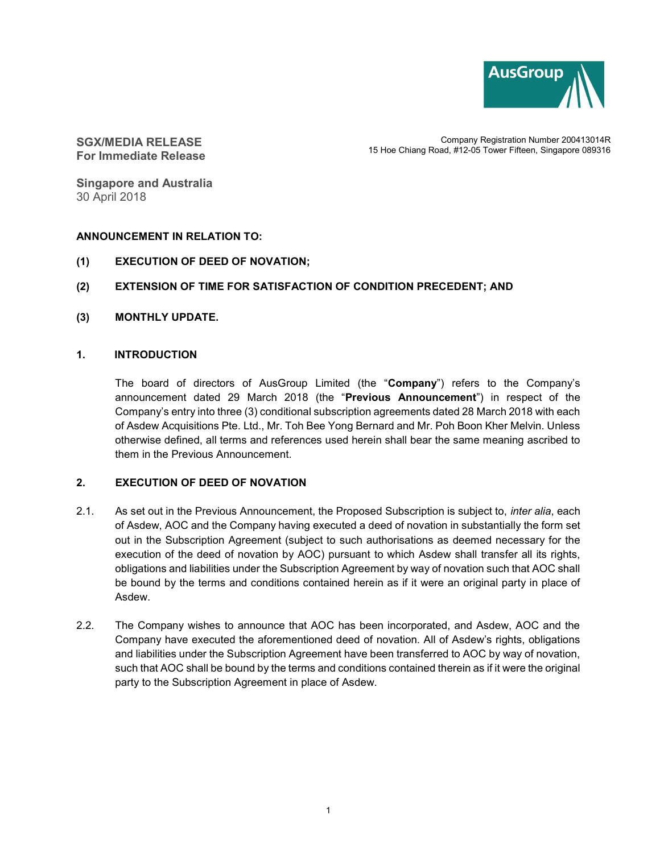

SGX/MEDIA RELEASE For Immediate Release

Company Registration Number 200413014R 15 Hoe Chiang Road, #12-05 Tower Fifteen, Singapore 089316

Singapore and Australia 30 April 2018

## ANNOUNCEMENT IN RELATION TO:

- (1) EXECUTION OF DEED OF NOVATION;
- (2) EXTENSION OF TIME FOR SATISFACTION OF CONDITION PRECEDENT; AND
- (3) MONTHLY UPDATE.

#### 1. INTRODUCTION

The board of directors of AusGroup Limited (the "Company") refers to the Company's announcement dated 29 March 2018 (the "Previous Announcement") in respect of the Company's entry into three (3) conditional subscription agreements dated 28 March 2018 with each of Asdew Acquisitions Pte. Ltd., Mr. Toh Bee Yong Bernard and Mr. Poh Boon Kher Melvin. Unless otherwise defined, all terms and references used herein shall bear the same meaning ascribed to them in the Previous Announcement.

## 2. EXECUTION OF DEED OF NOVATION

- 2.1. As set out in the Previous Announcement, the Proposed Subscription is subject to, *inter alia*, each of Asdew, AOC and the Company having executed a deed of novation in substantially the form set out in the Subscription Agreement (subject to such authorisations as deemed necessary for the execution of the deed of novation by AOC) pursuant to which Asdew shall transfer all its rights, obligations and liabilities under the Subscription Agreement by way of novation such that AOC shall be bound by the terms and conditions contained herein as if it were an original party in place of Asdew.
- 2.2. The Company wishes to announce that AOC has been incorporated, and Asdew, AOC and the Company have executed the aforementioned deed of novation. All of Asdew's rights, obligations and liabilities under the Subscription Agreement have been transferred to AOC by way of novation, such that AOC shall be bound by the terms and conditions contained therein as if it were the original party to the Subscription Agreement in place of Asdew.